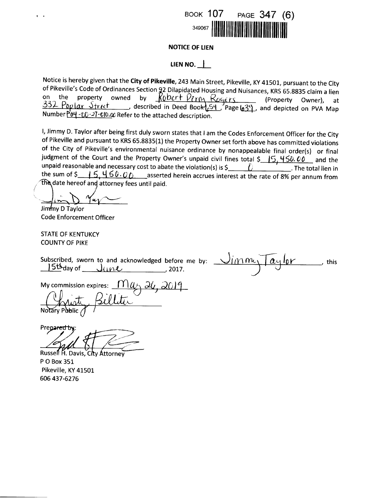

### **NOTICE OF LIEN**

### LIEN NO.  $\parallel$

Notice is hereby given that the City of Pikeville, 243 Main Street, Pikeville, KY 41501, pursuant to the City of Pikeville's Code of Ordinances Section 92 Dilapidated Housing and Nuisances, KRS 65.8835 claim a lien of Fineville's code of Ordinations Section 22 Dilappolated Housing and Nuisances, Kito 05.0000 Claim a field<br>on the property owned by  $\frac{R0bcrf Pcm}{R00cft}$  Rogers (Property Owner), at<br>332 Poplar Street , described in Deed B Number  $P'_{0}$  $\rightarrow$   $\gamma$  $\rightarrow$   $\gamma$   $\rightarrow$   $\gamma$   $\rightarrow$   $\gamma$   $\rightarrow$   $\gamma$   $\rightarrow$   $\gamma$  and the attached description.

I, Jimmy D. Taylor after being first duly sworn states that I am the Codes Enforcement Officer for the City of Pikeville and pursuant to KRS 65.8835(1) the Property Owner set forth above has committed violations of the City of Pikeville's environmental nuisance ordinance by nonappealable final order(s) or final judgment of the Court and the Property Owner's unpaid civil fines total \$ 15, 450.00 and the the sum of \$  $\frac{15}{5}$  460.00 asserted herein accrues interest at the rate of 8% per annum from the date hereof and attorney fees until paid.

Jimmy D Taylor

**Code Enforcement Officer** 

**STATE OF KENTUKCY COUNTY OF PIKE** 

Subscribed, sworn to and acknowledged before me by:  $156$  day of  $\frac{1}{100}$   $\frac{1}{100}$   $\frac{1}{100}$   $\frac{1}{100}$   $\frac{1}{100}$   $\frac{1}{100}$   $\frac{1}{100}$   $\frac{1}{100}$   $\frac{1}{100}$   $\frac{1}{100}$   $\frac{1}{100}$   $\frac{1}{100}$   $\frac{1}{100}$   $\frac{1}{100}$   $\frac{1}{100}$   $\frac{1}{100}$   $\frac{1}{100}$   $\frac{$ 

 $J$ imm  $\alpha$ ylor  $\overline{\phantom{a}}$ , this

My commission expires:  $\underbrace{\int \prod \mu_i \Delta \mu_i}$  2019

Prepared by

Russell H. Davis, City Attorney

P O Box 351 Pikeville, KY 41501 606 437-6276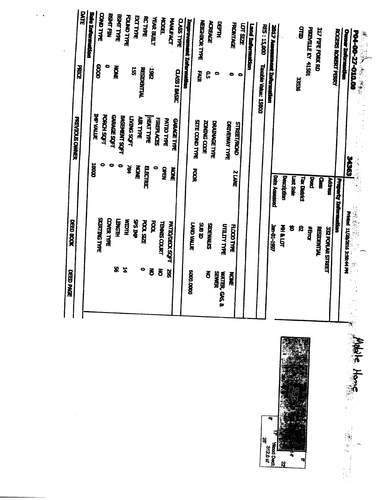|                  | DATE<br><b>PRICE</b><br><b>PREVIOUS ONNER</b> | Sale Information<br><b>THP VALLE</b> | COND TYPE<br>88      | 0<br><b>PORCH SOFT</b> | BSALFIN<br><b>GARAGE SOFT</b> | <b>BOAT TYPE</b><br><b>NOWE</b> | BASEMENT SQFT    | FOUND TYPE<br><b>LATME SOFT</b> | <b>EXTTRE</b><br>ត្ត | <b>RCTYPE</b><br><b>RESIDENTIAL</b><br>AUR TYPE | 2861<br>HEAT TYPE | <b>YEAR BUILT</b><br><b>FIREPLACES</b> | <b>Hope</b><br>PATIO TYPE | <b>MANUEACT</b><br><b>GARAGE TYPE</b> | <b>CLASS TYPE</b><br>CLASS I BASIC | Improvement Information | <b>SITE COND TYPE</b> | <b>NEIGHBORTYPE</b><br><b>HAT</b> | ACREAGE<br><u>ິດ</u><br><b>ZONING CODE</b> | $\bullet$<br><b>DRAINAGE TYPE</b> | <b>HLEN</b>         | c<br>DRIVEWAY TYPE | <b>FRONTAGE</b><br><b>STREET/ROAD</b> | <b>TOL 2007</b><br>۰ | Land Information | <b>RES: 15,000</b><br>Taxable Value: 15000 | 2017 Assessment Information |                      |             |          | <b>QTID</b><br>33230                     | <b>PIKEVILLE KY 41501</b> | 317 FIFE FORK RD   |                   | <b>ROGERS ROBERT PERRY</b>  | <b>Owner Information</b>      | <b>P04-00-27-010.00</b> |
|------------------|-----------------------------------------------|--------------------------------------|----------------------|------------------------|-------------------------------|---------------------------------|------------------|---------------------------------|----------------------|-------------------------------------------------|-------------------|----------------------------------------|---------------------------|---------------------------------------|------------------------------------|-------------------------|-----------------------|-----------------------------------|--------------------------------------------|-----------------------------------|---------------------|--------------------|---------------------------------------|----------------------|------------------|--------------------------------------------|-----------------------------|----------------------|-------------|----------|------------------------------------------|---------------------------|--------------------|-------------------|-----------------------------|-------------------------------|-------------------------|
|                  |                                               | 00001                                |                      |                        | 0                             |                                 | 0                | Ř                               | <b>NONE</b>          |                                                 | <b>ELECTRIC</b>   |                                        | NEWO                      | <b>NOWE</b>                           |                                    |                         | <b>POS</b>            |                                   |                                            |                                   |                     |                    | <b>SIANE</b>                          |                      |                  |                                            |                             | <b>Date Assessed</b> | Description | क्क स्था | <b><i><u><b>Tax District</b></u></i></b> | <b>Red</b>                | <b>SP</b>          | Address           | <b>Property Information</b> |                               | <b>SASGS</b>            |
| DEED BOOK        |                                               |                                      | <b>SKIRTING TYPE</b> |                        | COVER TYPE                    | HUSNET                          | <b>HUCIM</b>     |                                 | dhu SdS              | <b>POOL SIZE</b>                                |                   | <b>ROOL</b>                            | <b>TENNIS COURT</b>       | <b>PATIO/DECK SQFT</b>                |                                    |                         | <b>TAND VALUE</b>     | <b>and and</b>                    | STIVMENTIS                                 |                                   | <b>UTILITY TYPE</b> | <b>FLOOD TYPE</b>  |                                       |                      |                  |                                            | <b>191-1997</b>             |                      | 医肾细         | 筥        | <b>S</b>                                 | <b>WEIGH</b>              | <b>RESIDENTIAL</b> | 332 POPLAR STREET |                             | Printed 11/28/2016 3:50:44 PM | 以诗歌                     |
| <b>DEED PAGE</b> |                                               |                                      |                      |                        |                               | ፟፟፟፟፟                           | $\ddot{\bullet}$ |                                 |                      | 0                                               | る                 |                                        | δ                         | X                                     |                                    |                         | 0000'0009             |                                   | る                                          | <b>SEMER</b>                      | WATER, GAS, &       | <b>NOWE</b>        |                                       |                      |                  |                                            |                             |                      |             |          |                                          |                           |                    |                   |                             |                               |                         |



上下来编写

 $\mathcal{L}(\mathbf{z})$  .

 $\sim 10$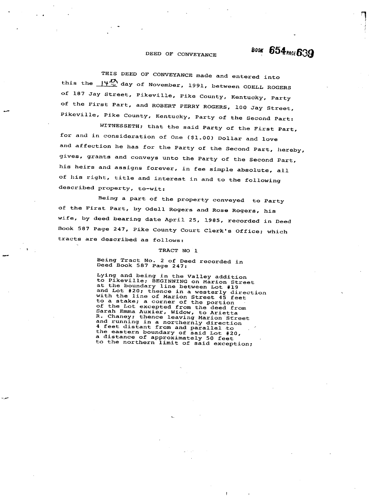# **BOOK 654 PACE 639**

#### DEED OF CONVEYANCE

THIS DEED OF CONVEYANCE made and entered into this the  $\frac{14 \frac{D_1}{C}}{2}$  day of November, 1991, between ODELL ROGERS of 187 Jay Street, Pikeville, Pike County, Kentucky, Party of the First Part, and ROBERT PERRY ROGERS, 100 Jay Street, Pikeville, Pike County, Kentucky, Party of the Second Part:

WITNESSETH; that the said Party of the First Part, for and in consideration of One (\$1.00) Dollar and love and affection he has for the Party of the Second Part, hereby, gives, grants and conveys unto the Party of the Second Part, his heirs and assigns forever, in fee simple absolute, all of his right, title and interest in and to the following described property, to-wit:

Being a part of the property conveyed to Party of the First Part, by Odell Rogers and Rose Rogers, his wife, by deed bearing date April 25, 1985, recorded in Deed Book 587 Page 247, Pike County Court Clerk's Office; which tracts are described as follows:

#### TRACT NO 1

Being Tract No. 2 of Deed recorded in<br>Deed Book 587 Page 247:

Lying and being in the Valley addition to Pikeville; BEGINNING on Marion Street at the boundary line between Lot #19 and Lot #20; thence in a westerly direction<br>with the line of Marion Street 45 feet with the line of Marion Street 45 feet<br>to a stake; a corner of the portion<br>of the Lot excepted from the deed from<br>Sarah Emma Auxier, Widow, to Arietta<br>R. Chaney; thence leaving Marion Street<br>and running in a northernly dir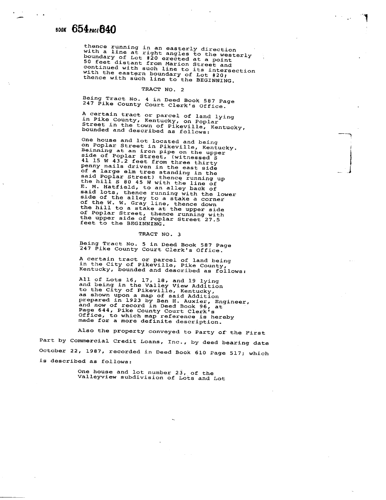## 800K 654 pace 640

thence running in an easterly direction<br>with a line at right angles to the westerly<br>boundary of Lot #20 erected at a point<br>50 feet distant from Marion Street and<br>continued with such line to its intersection<br>with the easter

#### TRACT NO. 2

Being Tract No. 4 in Deed Book 587 Page 247 Pike County Court Clerk's Office.

A certain tract or parcel of land lying in Pike County, Kentucky, on Poplar<br>Street in the town of Pikeville, Kentucky,<br>bounded and described as follows. nd described as follows

î

- .  $\int$ 

l

One house and lot located and being on Poplar Street in Pikeville, Kentucky. Beinning at an iron pipe on the upper<br>side of Poplar Street, (witnessed S<br>41 15 W 43.2 feet from three thirty penny nails driven in the east side of a large elm tree standing in the<br>said Poplar Street) thence running up<br>the hill S 80 45 W with the line of<br>E. M. Hatfield, to an alley back of said lots, thence running with the lower saide of the alley to a stake a corner<br>of the W. W. Gray line, thence down<br>the hill to a stake at the upper side of Poplar Street, thence running with<br>the upper side of Poplar Street 27.5 eet to the BEGINNING.

#### TRACT NO. 3

Being Tract No. 5 in Deed Book 587 Page 247 Pike County Court Clerk's Office.

A certain tract or parcel of land being in the City of Pikeville, Pike County, Kentucky, bounded and described as follows.

All of Lots 16, 17, 18. and 19 lying and being in the Valley View Addition to the City of Pikeville, Kew Auurtion<br>as shown upon a map of said Addition prepared in 1923 by Ben H. Auxier, Engineer,<br>and now of record in Deed Book 96. at Page 644, Pike County Court Clerk's Office, to which map reference is bereby made for a more definite description.

Also the property conveyed to Party of the First Part by Commercial Credit Loans, Inc., by deed bearing date October 22, 1987, recorded in Deed Book 610 Page 517; which is described as follows:

> One house and lot number 23, of the Valleyview subdivision of Lots and Lot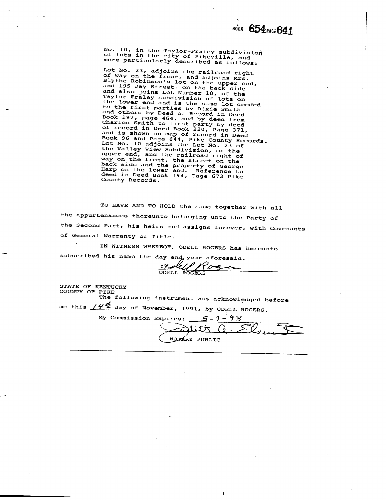No. 10, in the Taylor-Fraley subdivision<br>of lots in the city of Pikeville, and<br>more particularly described as follows:

more particularly described as follows:<br>
Lot No. 23, adjoins the railroad right<br>
of way on the front, and adjoins Mrs.<br>
Blythe Robinson's lot on the upper end,<br>
and 195 Jay Street, on the back side<br>
and also joins Lot Numb

TO HAVE AND TO HOLD the same together with all the appurtenances thereunto belonging unto the Party of the Second Part, his heirs and assigns forever, with Covenants of General Warranty of Title.

IN WITNESS WHEREOF, ODELL ROGERS has hereunto subscribed his name the day and year aforesaid.

CLAUP / Po

STATE OF KENTUCKY COUNTY OF PIKE

The following instrument was acknowledged before me this  $14\frac{1}{2}$  day of November, 1991, by ODELL ROGERS.

My Commission Expires: 5 - 9 - 9 7  $\widetilde{\boldsymbol{\mu}}$ NOTARY PUBLIC

 $\mathbf{I}$